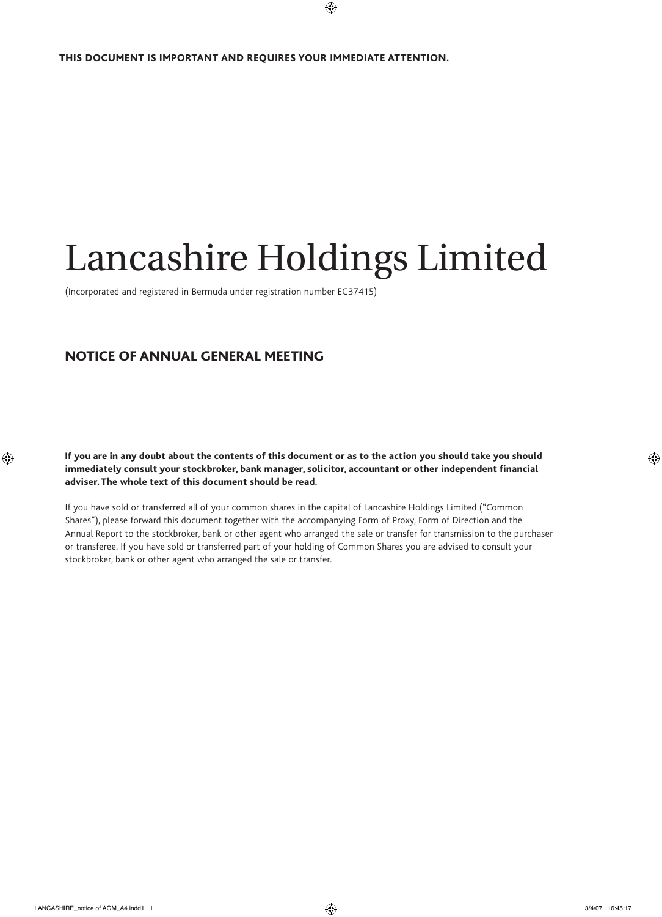# Lancashire Holdings Limited

(Incorporated and registered in Bermuda under registration number EC37415)

## NOTICE OF ANNUAL GENERAL MEETING

If you are in any doubt about the contents of this document or as to the action you should take you should immediately consult your stockbroker, bank manager, solicitor, accountant or other independent financial adviser. The whole text of this document should be read.

If you have sold or transferred all of your common shares in the capital of Lancashire Holdings Limited ("Common Shares"), please forward this document together with the accompanying Form of Proxy, Form of Direction and the Annual Report to the stockbroker, bank or other agent who arranged the sale or transfer for transmission to the purchaser or transferee. If you have sold or transferred part of your holding of Common Shares you are advised to consult your stockbroker, bank or other agent who arranged the sale or transfer.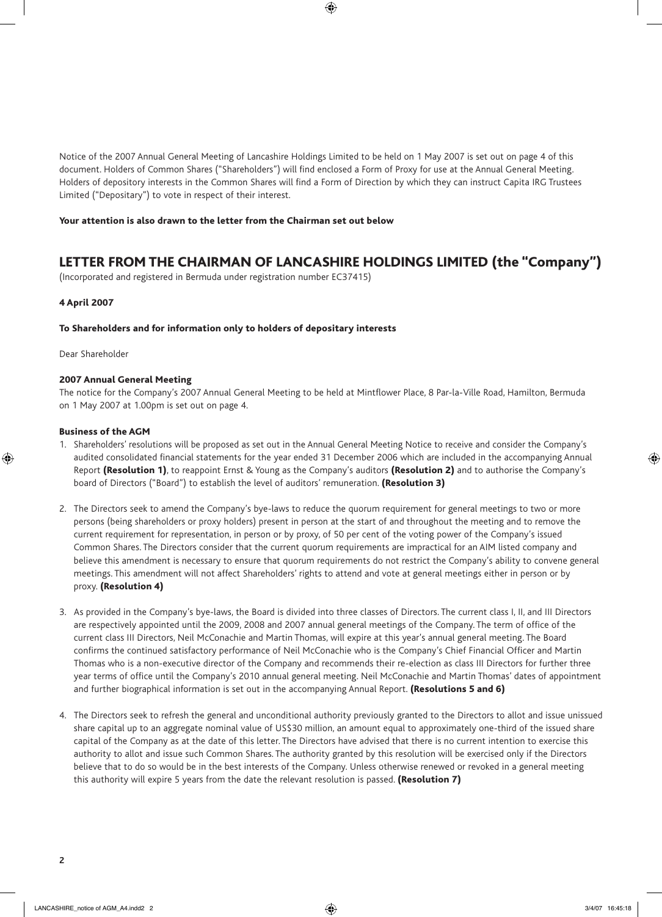Notice of the 2007 Annual General Meeting of Lancashire Holdings Limited to be held on 1 May 2007 is set out on page 4 of this document. Holders of Common Shares ("Shareholders") will find enclosed a Form of Proxy for use at the Annual General Meeting. Holders of depository interests in the Common Shares will find a Form of Direction by which they can instruct Capita IRG Trustees Limited ("Depositary") to vote in respect of their interest.

#### Your attention is also drawn to the letter from the Chairman set out below

## LETTER FROM THE CHAIRMAN OF LANCASHIRE HOLDINGS LIMITED (the "Company")

(Incorporated and registered in Bermuda under registration number EC37415)

#### 4 April 2007

#### To Shareholders and for information only to holders of depositary interests

Dear Shareholder

#### 2007 Annual General Meeting

The notice for the Company's 2007 Annual General Meeting to be held at Mintflower Place, 8 Par-la-Ville Road, Hamilton, Bermuda on 1 May 2007 at 1.00pm is set out on page 4.

#### Business of the AGM

- 1. Shareholders' resolutions will be proposed as set out in the Annual General Meeting Notice to receive and consider the Company's audited consolidated financial statements for the year ended 31 December 2006 which are included in the accompanying Annual Report (Resolution 1), to reappoint Ernst & Young as the Company's auditors (Resolution 2) and to authorise the Company's board of Directors ("Board") to establish the level of auditors' remuneration. (Resolution 3)
- 2. The Directors seek to amend the Company's bye-laws to reduce the quorum requirement for general meetings to two or more persons (being shareholders or proxy holders) present in person at the start of and throughout the meeting and to remove the current requirement for representation, in person or by proxy, of 50 per cent of the voting power of the Company's issued Common Shares. The Directors consider that the current quorum requirements are impractical for an AIM listed company and believe this amendment is necessary to ensure that quorum requirements do not restrict the Company's ability to convene general meetings. This amendment will not affect Shareholders' rights to attend and vote at general meetings either in person or by proxy. (Resolution 4)
- 3. As provided in the Company's bye-laws, the Board is divided into three classes of Directors. The current class I, II, and III Directors are respectively appointed until the 2009, 2008 and 2007 annual general meetings of the Company. The term of office of the current class III Directors, Neil McConachie and Martin Thomas, will expire at this year's annual general meeting. The Board confirms the continued satisfactory performance of Neil McConachie who is the Company's Chief Financial Officer and Martin Thomas who is a non-executive director of the Company and recommends their re-election as class III Directors for further three year terms of office until the Company's 2010 annual general meeting. Neil McConachie and Martin Thomas' dates of appointment and further biographical information is set out in the accompanying Annual Report. (Resolutions 5 and 6)
- 4. The Directors seek to refresh the general and unconditional authority previously granted to the Directors to allot and issue unissued share capital up to an aggregate nominal value of US\$30 million, an amount equal to approximately one-third of the issued share capital of the Company as at the date of this letter. The Directors have advised that there is no current intention to exercise this authority to allot and issue such Common Shares. The authority granted by this resolution will be exercised only if the Directors believe that to do so would be in the best interests of the Company. Unless otherwise renewed or revoked in a general meeting this authority will expire 5 years from the date the relevant resolution is passed. (Resolution 7)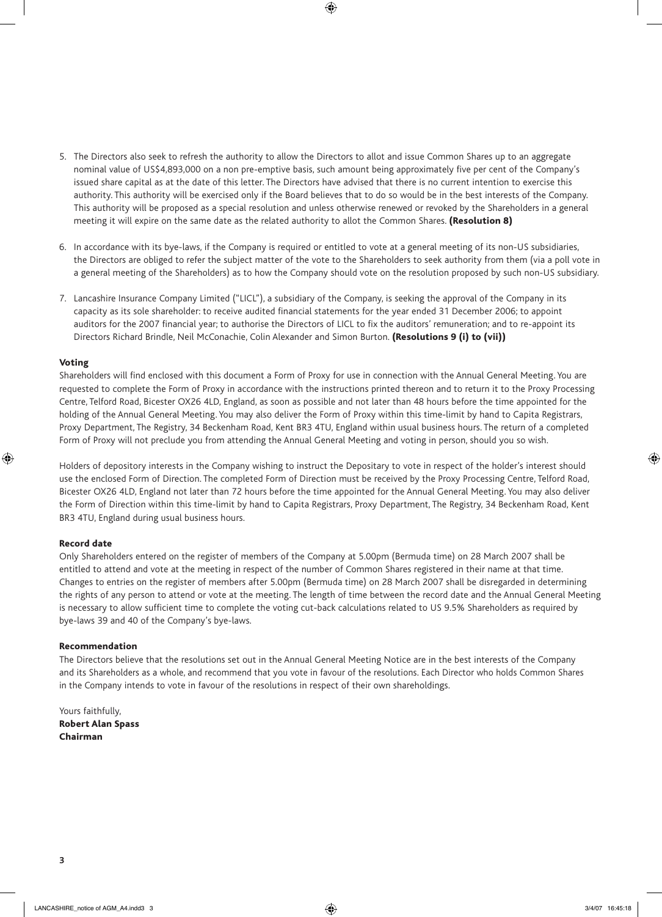- 5. The Directors also seek to refresh the authority to allow the Directors to allot and issue Common Shares up to an aggregate nominal value of US\$4,893,000 on a non pre-emptive basis, such amount being approximately five per cent of the Company's issued share capital as at the date of this letter. The Directors have advised that there is no current intention to exercise this authority. This authority will be exercised only if the Board believes that to do so would be in the best interests of the Company. This authority will be proposed as a special resolution and unless otherwise renewed or revoked by the Shareholders in a general meeting it will expire on the same date as the related authority to allot the Common Shares. (Resolution 8)
- 6. In accordance with its bye-laws, if the Company is required or entitled to vote at a general meeting of its non-US subsidiaries, the Directors are obliged to refer the subject matter of the vote to the Shareholders to seek authority from them (via a poll vote in a general meeting of the Shareholders) as to how the Company should vote on the resolution proposed by such non-US subsidiary.
- 7. Lancashire Insurance Company Limited ("LICL"), a subsidiary of the Company, is seeking the approval of the Company in its capacity as its sole shareholder: to receive audited financial statements for the year ended 31 December 2006; to appoint auditors for the 2007 financial year; to authorise the Directors of LICL to fix the auditors' remuneration; and to re-appoint its Directors Richard Brindle, Neil McConachie, Colin Alexander and Simon Burton. (Resolutions 9 (i) to (vii))

#### Voting

Shareholders will find enclosed with this document a Form of Proxy for use in connection with the Annual General Meeting. You are requested to complete the Form of Proxy in accordance with the instructions printed thereon and to return it to the Proxy Processing Centre, Telford Road, Bicester OX26 4LD, England, as soon as possible and not later than 48 hours before the time appointed for the holding of the Annual General Meeting. You may also deliver the Form of Proxy within this time-limit by hand to Capita Registrars, Proxy Department, The Registry, 34 Beckenham Road, Kent BR3 4TU, England within usual business hours. The return of a completed Form of Proxy will not preclude you from attending the Annual General Meeting and voting in person, should you so wish.

Holders of depository interests in the Company wishing to instruct the Depositary to vote in respect of the holder's interest should use the enclosed Form of Direction. The completed Form of Direction must be received by the Proxy Processing Centre, Telford Road, Bicester OX26 4LD, England not later than 72 hours before the time appointed for the Annual General Meeting. You may also deliver the Form of Direction within this time-limit by hand to Capita Registrars, Proxy Department, The Registry, 34 Beckenham Road, Kent BR3 4TU, England during usual business hours.

#### Record date

Only Shareholders entered on the register of members of the Company at 5.00pm (Bermuda time) on 28 March 2007 shall be entitled to attend and vote at the meeting in respect of the number of Common Shares registered in their name at that time. Changes to entries on the register of members after 5.00pm (Bermuda time) on 28 March 2007 shall be disregarded in determining the rights of any person to attend or vote at the meeting. The length of time between the record date and the Annual General Meeting is necessary to allow sufficient time to complete the voting cut-back calculations related to US 9.5% Shareholders as required by bye-laws 39 and 40 of the Company's bye-laws.

#### Recommendation

The Directors believe that the resolutions set out in the Annual General Meeting Notice are in the best interests of the Company and its Shareholders as a whole, and recommend that you vote in favour of the resolutions. Each Director who holds Common Shares in the Company intends to vote in favour of the resolutions in respect of their own shareholdings.

Yours faithfully, Robert Alan Spass Chairman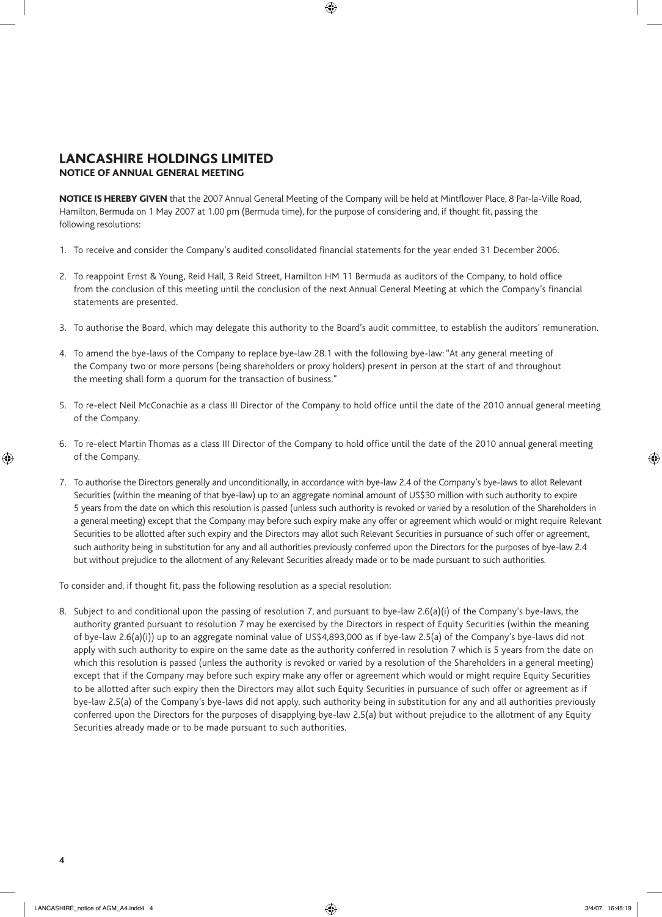## LANCASHIRE HOLDINGS LIMITED NOTICE OF ANNUAL GENERAL MEETING

NOTICE IS HEREBY GIVEN that the 2007 Annual General Meeting of the Company will be held at Mintflower Place, 8 Par-la-Ville Road, Hamilton, Bermuda on 1 May 2007 at 1.00 pm (Bermuda time), for the purpose of considering and, if thought fit, passing the following resolutions:

- 1. To receive and consider the Company's audited consolidated financial statements for the year ended 31 December 2006.
- 2. To reappoint Ernst & Young, Reid Hall, 3 Reid Street, Hamilton HM 11 Bermuda as auditors of the Company, to hold office from the conclusion of this meeting until the conclusion of the next Annual General Meeting at which the Company's financial statements are presented.
- 3. To authorise the Board, which may delegate this authority to the Board's audit committee, to establish the auditors' remuneration.
- 4. To amend the bye-laws of the Company to replace bye-law 28.1 with the following bye-law: "At any general meeting of the Company two or more persons (being shareholders or proxy holders) present in person at the start of and throughout the meeting shall form a quorum for the transaction of business."
- 5. To re-elect Neil McConachie as a class III Director of the Company to hold office until the date of the 2010 annual general meeting of the Company.
- 6. To re-elect Martin Thomas as a class III Director of the Company to hold office until the date of the 2010 annual general meeting of the Company.
- 7. To authorise the Directors generally and unconditionally, in accordance with bye-law 2.4 of the Company's bye-laws to allot Relevant Securities (within the meaning of that bye-law) up to an aggregate nominal amount of US\$30 million with such authority to expire 5 years from the date on which this resolution is passed (unless such authority is revoked or varied by a resolution of the Shareholders in a general meeting) except that the Company may before such expiry make any offer or agreement which would or might require Relevant Securities to be allotted after such expiry and the Directors may allot such Relevant Securities in pursuance of such offer or agreement, such authority being in substitution for any and all authorities previously conferred upon the Directors for the purposes of bye-law 2.4 but without prejudice to the allotment of any Relevant Securities already made or to be made pursuant to such authorities.

To consider and, if thought fit, pass the following resolution as a special resolution:

8. Subject to and conditional upon the passing of resolution 7, and pursuant to bye-law 2.6(a)(i) of the Company's bye-laws, the authority granted pursuant to resolution 7 may be exercised by the Directors in respect of Equity Securities (within the meaning of bye-law 2.6(a)(i)) up to an aggregate nominal value of US\$4,893,000 as if bye-law 2.5(a) of the Company's bye-laws did not apply with such authority to expire on the same date as the authority conferred in resolution 7 which is 5 years from the date on which this resolution is passed (unless the authority is revoked or varied by a resolution of the Shareholders in a general meeting) except that if the Company may before such expiry make any offer or agreement which would or might require Equity Securities to be allotted after such expiry then the Directors may allot such Equity Securities in pursuance of such offer or agreement as if bye-law 2.5(a) of the Company's bye-laws did not apply, such authority being in substitution for any and all authorities previously conferred upon the Directors for the purposes of disapplying bye-law 2.5(a) but without prejudice to the allotment of any Equity Securities already made or to be made pursuant to such authorities.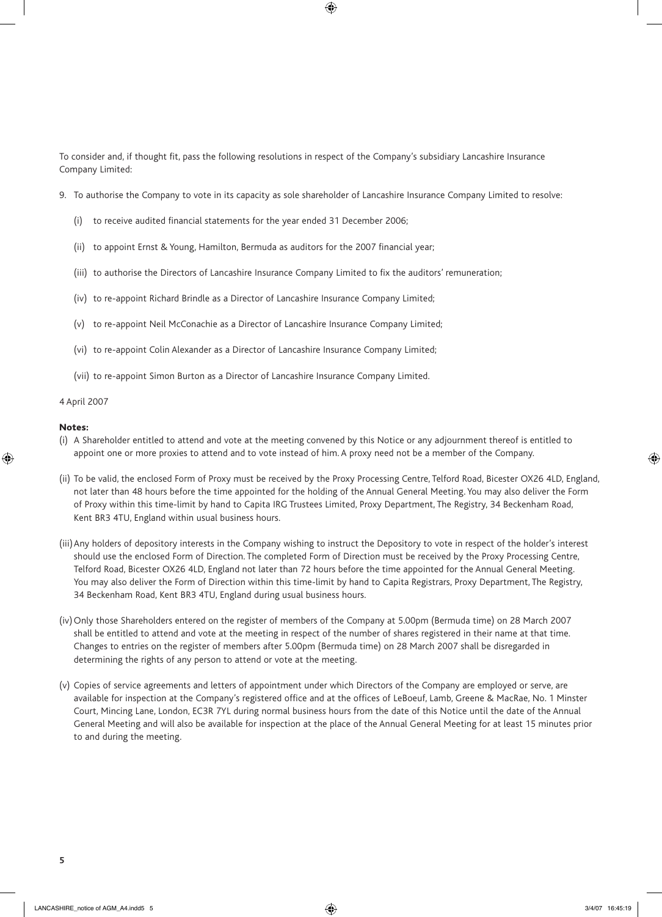To consider and, if thought fit, pass the following resolutions in respect of the Company's subsidiary Lancashire Insurance Company Limited:

- 9. To authorise the Company to vote in its capacity as sole shareholder of Lancashire Insurance Company Limited to resolve:
	- (i) to receive audited financial statements for the year ended 31 December 2006;
	- (ii) to appoint Ernst & Young, Hamilton, Bermuda as auditors for the 2007 financial year;
	- (iii) to authorise the Directors of Lancashire Insurance Company Limited to fix the auditors' remuneration;
	- (iv) to re-appoint Richard Brindle as a Director of Lancashire Insurance Company Limited;
	- (v) to re-appoint Neil McConachie as a Director of Lancashire Insurance Company Limited;
	- (vi) to re-appoint Colin Alexander as a Director of Lancashire Insurance Company Limited;
	- (vii) to re-appoint Simon Burton as a Director of Lancashire Insurance Company Limited.

#### 4 April 2007

#### Notes:

- (i) A Shareholder entitled to attend and vote at the meeting convened by this Notice or any adjournment thereof is entitled to appoint one or more proxies to attend and to vote instead of him. A proxy need not be a member of the Company.
- (ii) To be valid, the enclosed Form of Proxy must be received by the Proxy Processing Centre, Telford Road, Bicester OX26 4LD, England, not later than 48 hours before the time appointed for the holding of the Annual General Meeting. You may also deliver the Form of Proxy within this time-limit by hand to Capita IRG Trustees Limited, Proxy Department, The Registry, 34 Beckenham Road, Kent BR3 4TU, England within usual business hours.
- (iii) Any holders of depository interests in the Company wishing to instruct the Depository to vote in respect of the holder's interest should use the enclosed Form of Direction. The completed Form of Direction must be received by the Proxy Processing Centre, Telford Road, Bicester OX26 4LD, England not later than 72 hours before the time appointed for the Annual General Meeting. You may also deliver the Form of Direction within this time-limit by hand to Capita Registrars, Proxy Department, The Registry, 34 Beckenham Road, Kent BR3 4TU, England during usual business hours.
- (iv) Only those Shareholders entered on the register of members of the Company at 5.00pm (Bermuda time) on 28 March 2007 shall be entitled to attend and vote at the meeting in respect of the number of shares registered in their name at that time. Changes to entries on the register of members after 5.00pm (Bermuda time) on 28 March 2007 shall be disregarded in determining the rights of any person to attend or vote at the meeting.
- (v) Copies of service agreements and letters of appointment under which Directors of the Company are employed or serve, are available for inspection at the Company's registered office and at the offices of LeBoeuf, Lamb, Greene & MacRae, No. 1 Minster Court, Mincing Lane, London, EC3R 7YL during normal business hours from the date of this Notice until the date of the Annual General Meeting and will also be available for inspection at the place of the Annual General Meeting for at least 15 minutes prior to and during the meeting.